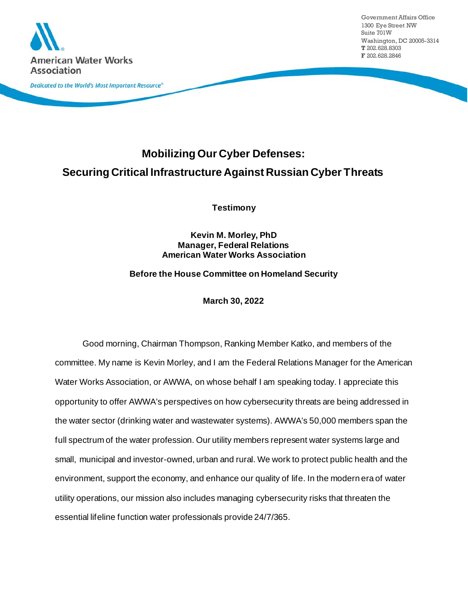

# **Mobilizing Our Cyber Defenses: Securing Critical Infrastructure Against Russian Cyber Threats**

**Testimony**

**Kevin M. Morley, PhD Manager, Federal Relations American Water Works Association**

**Before the House Committee on Homeland Security**

**March 30, 2022**

Good morning, Chairman Thompson, Ranking Member Katko, and members of the committee. My name is Kevin Morley, and I am the Federal Relations Manager for the American Water Works Association, or AWWA, on whose behalf I am speaking today. I appreciate this opportunity to offer AWWA's perspectives on how cybersecurity threats are being addressed in the water sector (drinking water and wastewater systems). AWWA's 50,000 members span the full spectrum of the water profession. Our utility members represent water systems large and small, municipal and investor-owned, urban and rural. We work to protect public health and the environment, support the economy, and enhance our quality of life. In the modern era of water utility operations, our mission also includes managing cybersecurity risks that threaten the essential lifeline function water professionals provide 24/7/365.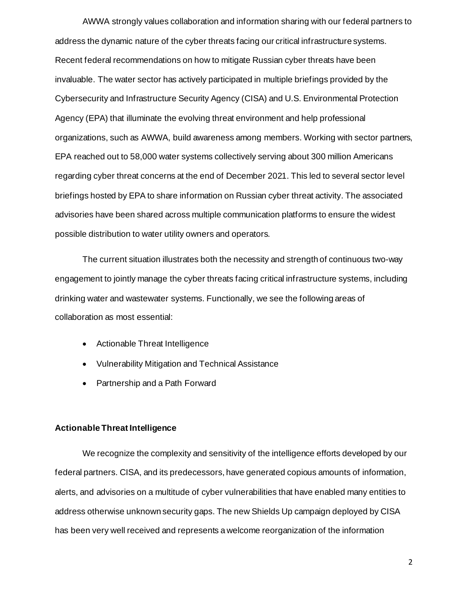AWWA strongly values collaboration and information sharing with our federal partners to address the dynamic nature of the cyber threats facing our critical infrastructure systems. Recent federal recommendations on how to mitigate Russian cyber threats have been invaluable. The water sector has actively participated in multiple briefings provided by the Cybersecurity and Infrastructure Security Agency (CISA) and U.S. Environmental Protection Agency (EPA) that illuminate the evolving threat environment and help professional organizations, such as AWWA, build awareness among members. Working with sector partners, EPA reached out to 58,000 water systems collectively serving about 300 million Americans regarding cyber threat concerns at the end of December 2021. This led to several sector level briefings hosted by EPA to share information on Russian cyber threat activity. The associated advisories have been shared across multiple communication platforms to ensure the widest possible distribution to water utility owners and operators.

The current situation illustrates both the necessity and strength of continuous two-way engagement to jointly manage the cyber threats facing critical infrastructure systems, including drinking water and wastewater systems. Functionally, we see the following areas of collaboration as most essential:

- Actionable Threat Intelligence
- Vulnerability Mitigation and Technical Assistance
- Partnership and a Path Forward

## **Actionable Threat Intelligence**

We recognize the complexity and sensitivity of the intelligence efforts developed by our federal partners. CISA, and its predecessors, have generated copious amounts of information, alerts, and advisories on a multitude of cyber vulnerabilities that have enabled many entities to address otherwise unknown security gaps. The new Shields Up campaign deployed by CISA has been very well received and represents a welcome reorganization of the information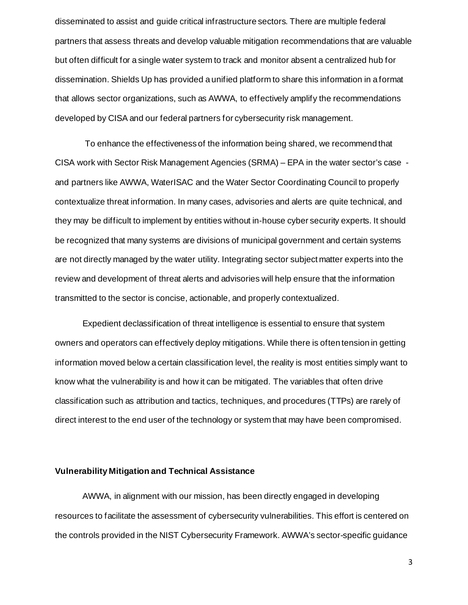disseminated to assist and guide critical infrastructure sectors. There are multiple federal partners that assess threats and develop valuable mitigation recommendations that are valuable but often difficult for a single water system to track and monitor absent a centralized hub for dissemination. Shields Up has provided a unified platform to share this information in a format that allows sector organizations, such as AWWA, to effectively amplify the recommendations developed by CISA and our federal partners for cybersecurity risk management.

To enhance the effectiveness of the information being shared, we recommend that CISA work with Sector Risk Management Agencies (SRMA) – EPA in the water sector's case and partners like AWWA, WaterISAC and the Water Sector Coordinating Council to properly contextualize threat information. In many cases, advisories and alerts are quite technical, and they may be difficult to implement by entities without in-house cyber security experts. It should be recognized that many systems are divisions of municipal government and certain systems are not directly managed by the water utility. Integrating sector subject matter experts into the review and development of threat alerts and advisories will help ensure that the information transmitted to the sector is concise, actionable, and properly contextualized.

Expedient declassification of threat intelligence is essential to ensure that system owners and operators can effectively deploy mitigations. While there is often tension in getting information moved below a certain classification level, the reality is most entities simply want to know what the vulnerability is and how it can be mitigated. The variables that often drive classification such as attribution and tactics, techniques, and procedures (TTPs) are rarely of direct interest to the end user of the technology or system that may have been compromised.

## **Vulnerability Mitigation and Technical Assistance**

AWWA, in alignment with our mission, has been directly engaged in developing resources to facilitate the assessment of cybersecurity vulnerabilities. This effort is centered on the controls provided in the NIST Cybersecurity Framework. AWWA's sector-specific guidance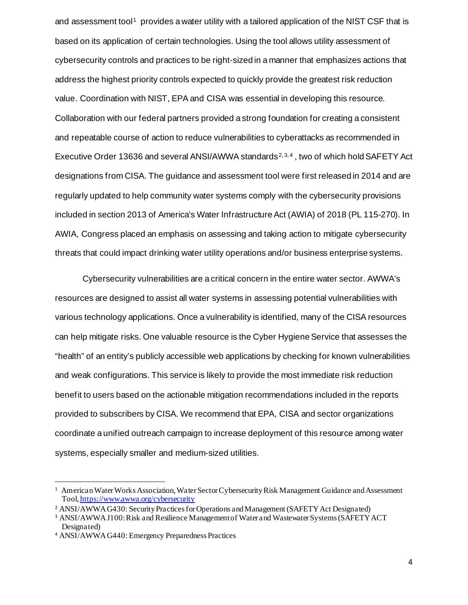and assessment tool<sup>[1](#page-3-0)</sup> provides a water utility with a tailored application of the NIST CSF that is based on its application of certain technologies. Using the tool allows utility assessment of cybersecurity controls and practices to be right-sized in a manner that emphasizes actions that address the highest priority controls expected to quickly provide the greatest risk reduction value. Coordination with NIST, EPA and CISA was essential in developing this resource. Collaboration with our federal partners provided a strong foundation for creating a consistent and repeatable course of action to reduce vulnerabilities to cyberattacks as recommended in Executive Order 13636 and several ANSI/AWWA standards<sup>[2,](#page-3-1) [3](#page-3-2), [4](#page-3-3)</sup>, two of which hold SAFETY Act designations from CISA. The guidance and assessment tool were first released in 2014 and are regularly updated to help community water systems comply with the cybersecurity provisions included in section 2013 of America's Water Infrastructure Act (AWIA) of 2018 (PL 115-270). In AWIA, Congress placed an emphasis on assessing and taking action to mitigate cybersecurity threats that could impact drinking water utility operations and/or business enterprise systems.

Cybersecurity vulnerabilities are a critical concern in the entire water sector. AWWA's resources are designed to assist all water systems in assessing potential vulnerabilities with various technology applications. Once a vulnerability is identified, many of the CISA resources can help mitigate risks. One valuable resource is the Cyber Hygiene Service that assesses the "health" of an entity's publicly accessible web applications by checking for known vulnerabilities and weak configurations. This service is likely to provide the most immediate risk reduction benefit to users based on the actionable mitigation recommendations included in the reports provided to subscribers by CISA. We recommend that EPA, CISA and sector organizations coordinate a unified outreach campaign to increase deployment of this resource among water systems, especially smaller and medium-sized utilities.

<span id="page-3-0"></span><sup>&</sup>lt;sup>1</sup> American Water Works Association, Water Sector Cybersecurity Risk Management Guidance and Assessment Tool[, https://www.awwa.org/cybersecurity](https://www.awwa.org/cybersecurity)

<span id="page-3-1"></span><sup>&</sup>lt;sup>2</sup> ANSI/AWWA G430: Security Practices for Operations and Management (SAFETY Act Designated)

<span id="page-3-2"></span><sup>3</sup> ANSI/AWWA J100: Risk and Resilience Management of Water and Wastewater Systems (SAFETY ACT Designated)

<span id="page-3-3"></span><sup>4</sup> ANSI/AWWA G440: Emergency Preparedness Practices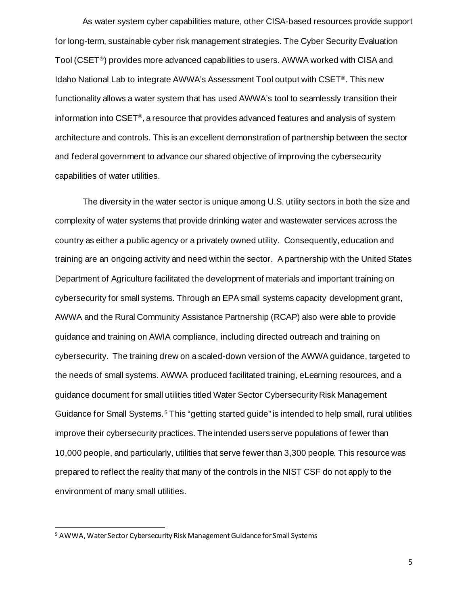As water system cyber capabilities mature, other CISA-based resources provide support for long-term, sustainable cyber risk management strategies. The Cyber Security Evaluation Tool (CSET®) provides more advanced capabilities to users. AWWA worked with CISA and Idaho National Lab to integrate AWWA's Assessment Tool output with CSET®. This new functionality allows a water system that has used AWWA's tool to seamlessly transition their information into CSET®, a resource that provides advanced features and analysis of system architecture and controls. This is an excellent demonstration of partnership between the sector and federal government to advance our shared objective of improving the cybersecurity capabilities of water utilities.

The diversity in the water sector is unique among U.S. utility sectors in both the size and complexity of water systems that provide drinking water and wastewater services across the country as either a public agency or a privately owned utility. Consequently, education and training are an ongoing activity and need within the sector. A partnership with the United States Department of Agriculture facilitated the development of materials and important training on cybersecurity for small systems. Through an EPA small systems capacity development grant, AWWA and the Rural Community Assistance Partnership (RCAP) also were able to provide guidance and training on AWIA compliance, including directed outreach and training on cybersecurity. The training drew on a scaled-down version of the AWWA guidance, targeted to the needs of small systems. AWWA produced facilitated training, eLearning resources, and a guidance document for small utilities titled Water Sector Cybersecurity Risk Management Guidance for Small Systems.<sup>[5](#page-4-0)</sup> This "getting started guide" is intended to help small, rural utilities improve their cybersecurity practices. The intended users serve populations of fewer than 10,000 people, and particularly, utilities that serve fewer than 3,300 people. This resource was prepared to reflect the reality that many of the controls in the NIST CSF do not apply to the environment of many small utilities.

5

<span id="page-4-0"></span><sup>5</sup> AWWA, Water Sector Cybersecurity Risk Management Guidance for Small Systems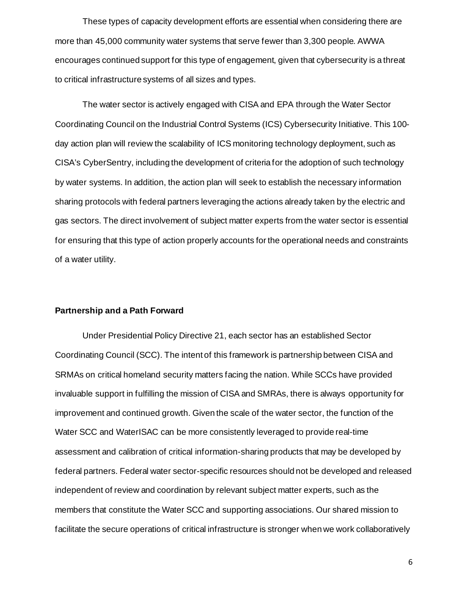These types of capacity development efforts are essential when considering there are more than 45,000 community water systems that serve fewer than 3,300 people. AWWA encourages continued support for this type of engagement, given that cybersecurity is a threat to critical infrastructure systems of all sizes and types.

The water sector is actively engaged with CISA and EPA through the Water Sector Coordinating Council on the Industrial Control Systems (ICS) Cybersecurity Initiative. This 100 day action plan will review the scalability of ICS monitoring technology deployment, such as CISA's CyberSentry, including the development of criteria for the adoption of such technology by water systems. In addition, the action plan will seek to establish the necessary information sharing protocols with federal partners leveraging the actions already taken by the electric and gas sectors. The direct involvement of subject matter experts from the water sector is essential for ensuring that this type of action properly accounts for the operational needs and constraints of a water utility.

## **Partnership and a Path Forward**

Under Presidential Policy Directive 21, each sector has an established Sector Coordinating Council (SCC). The intent of this framework is partnership between CISA and SRMAs on critical homeland security matters facing the nation. While SCCs have provided invaluable support in fulfilling the mission of CISA and SMRAs, there is always opportunity for improvement and continued growth. Given the scale of the water sector, the function of the Water SCC and WaterISAC can be more consistently leveraged to provide real-time assessment and calibration of critical information-sharing products that may be developed by federal partners. Federal water sector-specific resources should not be developed and released independent of review and coordination by relevant subject matter experts, such as the members that constitute the Water SCC and supporting associations. Our shared mission to facilitate the secure operations of critical infrastructure is stronger when we work collaboratively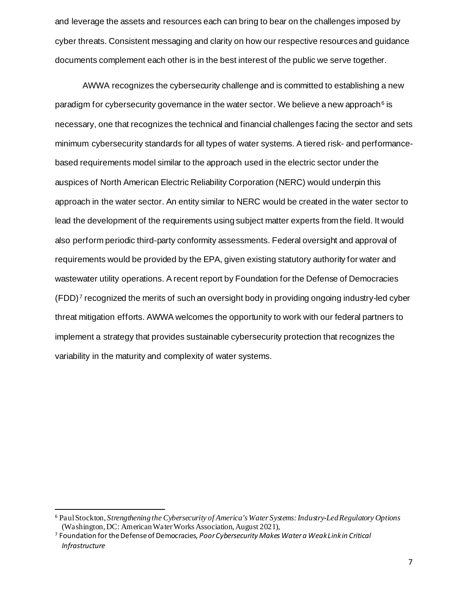and leverage the assets and resources each can bring to bear on the challenges imposed by cyber threats. Consistent messaging and clarity on how our respective resources and guidance documents complement each other is in the best interest of the public we serve together.

AWWA recognizes the cybersecurity challenge and is committed to establishing a new paradigm for cybersecurity governance in the water sector. We believe a new approach  $6$  is necessary, one that recognizes the technical and financial challenges facing the sector and sets minimum cybersecurity standards for all types of water systems. A tiered risk- and performancebased requirements model similar to the approach used in the electric sector under the auspices of North American Electric Reliability Corporation (NERC) would underpin this approach in the water sector. An entity similar to NERC would be created in the water sector to lead the development of the requirements using subject matter experts from the field. It would also perform periodic third-party conformity assessments. Federal oversight and approval of requirements would be provided by the EPA, given existing statutory authority for water and wastewater utility operations. A recent report by Foundation for the Defense of Democracies  $(FDD)^7$  $(FDD)^7$  recognized the merits of such an oversight body in providing ongoing industry-led cyber threat mitigation efforts. AWWA welcomes the opportunity to work with our federal partners to implement a strategy that provides sustainable cybersecurity protection that recognizes the variability in the maturity and complexity of water systems.

<span id="page-6-0"></span><sup>6</sup> Paul Stockton, *Strengthening the Cybersecurity of America's Water Systems: Industry-Led Regulatory Options* (Washington, DC: American Water Works Association, August 2021),

<span id="page-6-1"></span><sup>7</sup> Foundation for the Defense of Democracies*, Poor Cybersecurity Makes Water a Weak Link in Critical Infrastructure*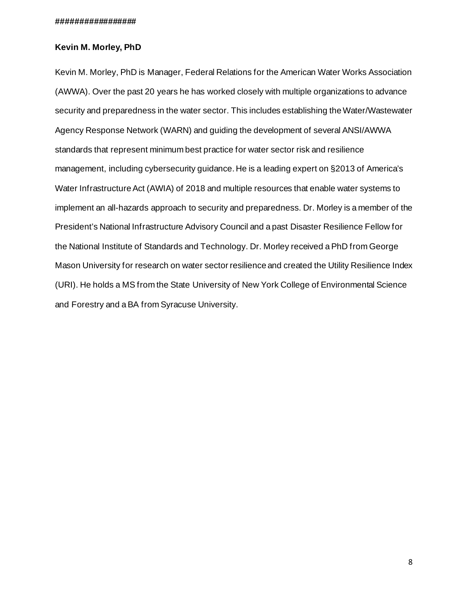### **#################**

## **Kevin M. Morley, PhD**

Kevin M. Morley, PhD is Manager, Federal Relations for the American Water Works Association (AWWA). Over the past 20 years he has worked closely with multiple organizations to advance security and preparedness in the water sector. This includes establishing the Water/Wastewater Agency Response Network (WARN) and guiding the development of several ANSI/AWWA standards that represent minimum best practice for water sector risk and resilience management, including cybersecurity guidance. He is a leading expert on §2013 of America's Water Infrastructure Act (AWIA) of 2018 and multiple resources that enable water systems to implement an all-hazards approach to security and preparedness. Dr. Morley is a member of the President's National Infrastructure Advisory Council and a past Disaster Resilience Fellow for the National Institute of Standards and Technology. Dr. Morley received a PhD from George Mason University for research on water sector resilience and created the Utility Resilience Index (URI). He holds a MS from the State University of New York College of Environmental Science and Forestry and a BA from Syracuse University.